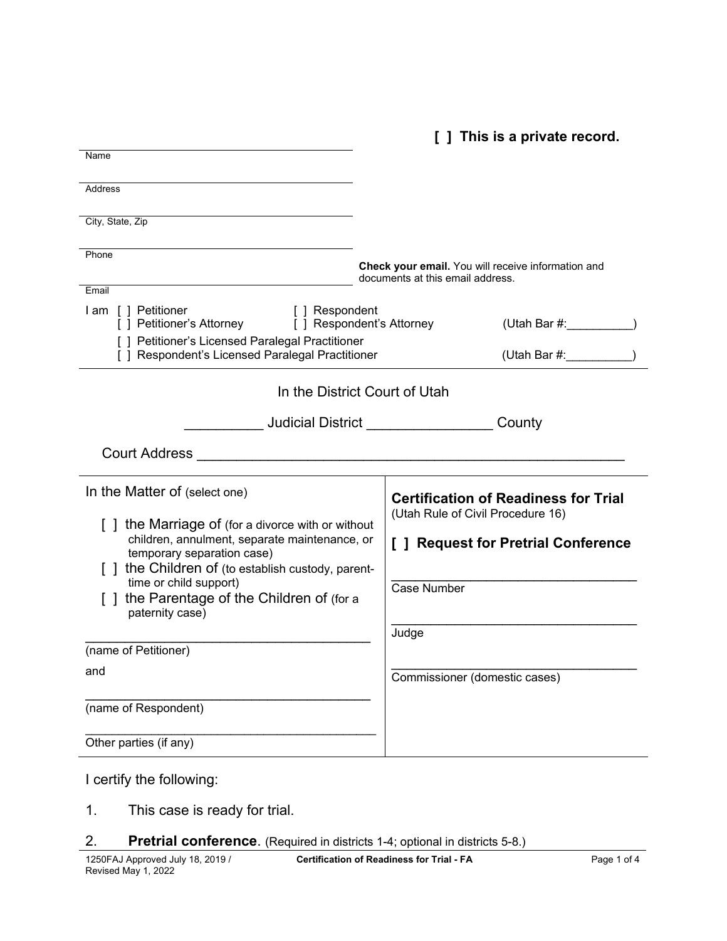**[ ] This is a private record.**

| Name                                                                                                                                                                                                                                                                                                                                              |                                                                                                                                                                                  |
|---------------------------------------------------------------------------------------------------------------------------------------------------------------------------------------------------------------------------------------------------------------------------------------------------------------------------------------------------|----------------------------------------------------------------------------------------------------------------------------------------------------------------------------------|
| <b>Address</b>                                                                                                                                                                                                                                                                                                                                    |                                                                                                                                                                                  |
| City, State, Zip                                                                                                                                                                                                                                                                                                                                  |                                                                                                                                                                                  |
| Phone                                                                                                                                                                                                                                                                                                                                             | Check your email. You will receive information and<br>documents at this email address.                                                                                           |
| Email                                                                                                                                                                                                                                                                                                                                             |                                                                                                                                                                                  |
| I am [] Petitioner<br>[ ] Respondent<br>[ ] Petitioner's Attorney [ ] Respondent's Attorney                                                                                                                                                                                                                                                       | (Utah Bar #:                                                                                                                                                                     |
| [ ] Petitioner's Licensed Paralegal Practitioner<br>[ ] Respondent's Licensed Paralegal Practitioner                                                                                                                                                                                                                                              |                                                                                                                                                                                  |
| In the District Court of Utah                                                                                                                                                                                                                                                                                                                     |                                                                                                                                                                                  |
|                                                                                                                                                                                                                                                                                                                                                   |                                                                                                                                                                                  |
| Court Address Court Address                                                                                                                                                                                                                                                                                                                       |                                                                                                                                                                                  |
| In the Matter of (select one)<br>[] the Marriage of (for a divorce with or without<br>children, annulment, separate maintenance, or<br>temporary separation case)<br>[ ] the Children of (to establish custody, parent-<br>time or child support)<br>[] the Parentage of the Children of (for a<br>paternity case)<br>(name of Petitioner)<br>and | <b>Certification of Readiness for Trial</b><br>(Utah Rule of Civil Procedure 16)<br>[ ] Request for Pretrial Conference<br>Case Number<br>Judge<br>Commissioner (domestic cases) |
| (name of Respondent)                                                                                                                                                                                                                                                                                                                              |                                                                                                                                                                                  |
| Other parties (if any)                                                                                                                                                                                                                                                                                                                            |                                                                                                                                                                                  |

I certify the following:

- 1. This case is ready for trial.
- 2. **Pretrial conference**. (Required in districts 1-4; optional in districts 5-8.)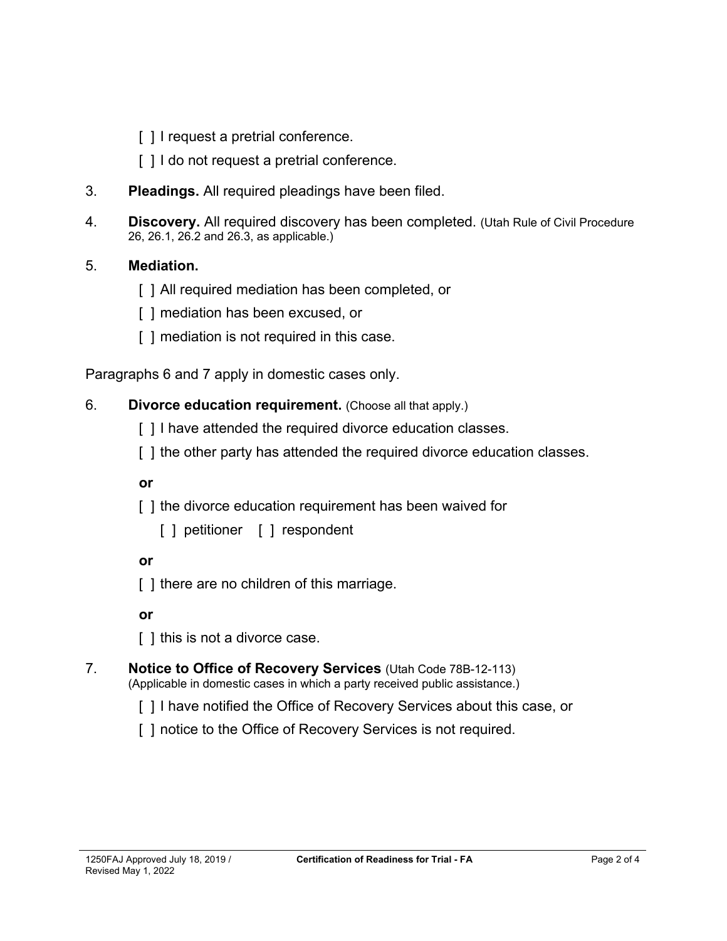- [] I request a pretrial conference.
- [] I do not request a pretrial conference.
- 3. **Pleadings.** All required pleadings have been filed.
- 4. **Discovery.** All required discovery has been completed. (Utah Rule of Civil Procedure 26, 26.1, 26.2 and 26.3, as applicable.)

## 5. **Mediation.**

- [ ] All required mediation has been completed, or
- [ ] mediation has been excused, or
- [ ] mediation is not required in this case.

Paragraphs 6 and 7 apply in domestic cases only.

#### 6. **Divorce education requirement.** (Choose all that apply.)

- [] I have attended the required divorce education classes.
- [ ] the other party has attended the required divorce education classes.

**or** 

- [] the divorce education requirement has been waived for
	- [ ] petitioner [ ] respondent

**or**

[ ] there are no children of this marriage.

**or** 

[ ] this is not a divorce case.

# 7. **Notice to Office of Recovery Services** (Utah Code 78B-12-113)

- (Applicable in domestic cases in which a party received public assistance.)
	- [ ] I have notified the Office of Recovery Services about this case, or
	- [ ] notice to the Office of Recovery Services is not required.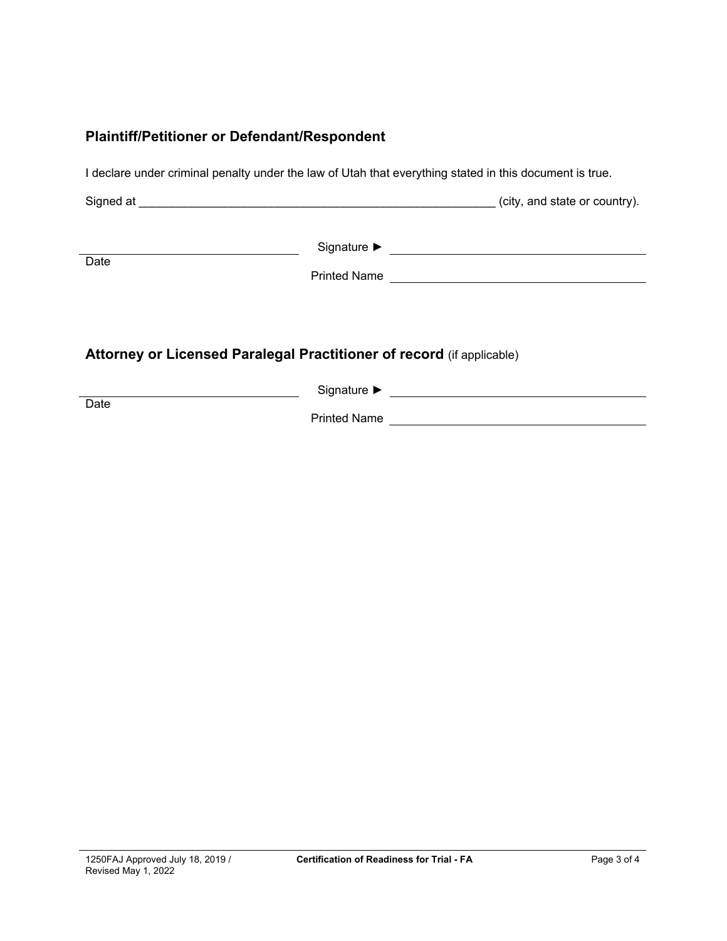### **Plaintiff/Petitioner or Defendant/Respondent**

I declare under criminal penalty under the law of Utah that everything stated in this document is true.

Signed at \_\_\_\_\_\_\_\_\_\_\_\_\_\_\_\_\_\_\_\_\_\_\_\_\_\_\_\_\_\_\_\_\_\_\_\_\_\_\_\_\_\_\_\_\_\_\_\_\_\_\_\_\_\_ (city, and state or country).

|      | Signature $\blacktriangleright$ |  |
|------|---------------------------------|--|
| Date |                                 |  |
|      | <b>Printed Name</b>             |  |

## **Attorney or Licensed Paralegal Practitioner of record** (if applicable)

|      | Signature ▶         |
|------|---------------------|
| Date | <b>Printed Name</b> |